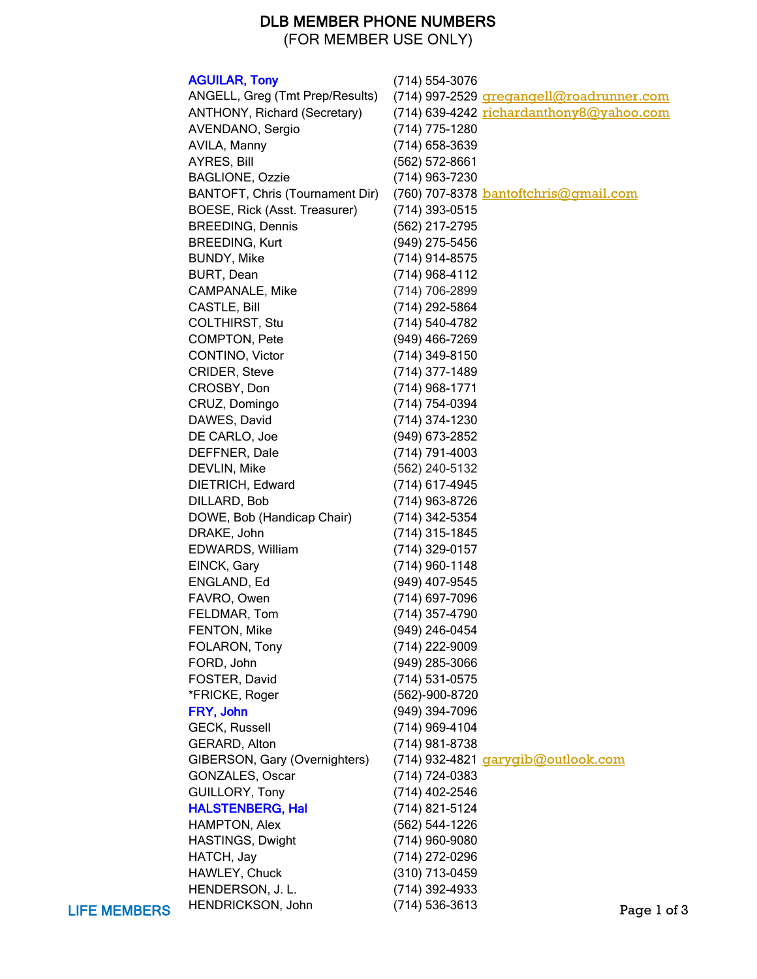## DLB MEMBER PHONE NUMBERS

(FOR MEMBER USE ONLY)

|                     | <b>AGUILAR, Tony</b>            | $(714) 554 - 3076$                           |             |
|---------------------|---------------------------------|----------------------------------------------|-------------|
|                     | ANGELL, Greg (Tmt Prep/Results) | (714) 997-2529 gregangell@roadrunner.com     |             |
|                     | ANTHONY, Richard (Secretary)    | (714) 639-4242 richardanthony8@yahoo.com     |             |
|                     | AVENDANO, Sergio                | (714) 775-1280                               |             |
|                     | AVILA, Manny                    | (714) 658-3639                               |             |
|                     | AYRES, Bill                     | (562) 572-8661                               |             |
|                     | <b>BAGLIONE, Ozzie</b>          | (714) 963-7230                               |             |
|                     | BANTOFT, Chris (Tournament Dir) | (760) 707-8378 <b>bantoftchris@gmail.com</b> |             |
|                     | BOESE, Rick (Asst. Treasurer)   | (714) 393-0515                               |             |
|                     | <b>BREEDING, Dennis</b>         | (562) 217-2795                               |             |
|                     | <b>BREEDING, Kurt</b>           | (949) 275-5456                               |             |
|                     | <b>BUNDY, Mike</b>              | (714) 914-8575                               |             |
|                     | BURT, Dean                      | $(714)$ 968-4112                             |             |
|                     | CAMPANALE, Mike                 | (714) 706-2899                               |             |
|                     | <b>CASTLE, Bill</b>             | (714) 292-5864                               |             |
|                     | COLTHIRST, Stu                  | (714) 540-4782                               |             |
|                     | COMPTON, Pete                   | (949) 466-7269                               |             |
|                     | CONTINO, Victor                 | (714) 349-8150                               |             |
|                     | CRIDER, Steve                   | $(714)$ 377-1489                             |             |
|                     | CROSBY, Don                     | $(714)$ 968-1771                             |             |
|                     | CRUZ, Domingo                   | (714) 754-0394                               |             |
|                     | DAWES, David                    | (714) 374-1230                               |             |
|                     | DE CARLO, Joe                   | (949) 673-2852                               |             |
|                     | DEFFNER, Dale                   | $(714) 791 - 4003$                           |             |
|                     | DEVLIN, Mike                    | (562) 240-5132                               |             |
|                     | DIETRICH, Edward                | (714) 617-4945                               |             |
|                     | DILLARD, Bob                    | (714) 963-8726                               |             |
|                     | DOWE, Bob (Handicap Chair)      | (714) 342-5354                               |             |
|                     | DRAKE, John                     | $(714)$ 315-1845                             |             |
|                     | EDWARDS, William                | $(714)$ 329-0157                             |             |
|                     | EINCK, Gary                     | $(714)$ 960-1148                             |             |
|                     | ENGLAND, Ed                     | (949) 407-9545                               |             |
|                     |                                 | (714) 697-7096                               |             |
|                     | FAVRO, Owen                     | (714) 357-4790                               |             |
|                     | FELDMAR, Tom                    |                                              |             |
|                     | FENTON, Mike<br>FOLARON, Tony   | (949) 246-0454<br>(714) 222-9009             |             |
|                     |                                 |                                              |             |
|                     | FORD, John                      | (949) 285-3066                               |             |
|                     | FOSTER, David                   | (714) 531-0575                               |             |
|                     | *FRICKE, Roger                  | (562)-900-8720                               |             |
|                     | FRY, John                       | (949) 394-7096                               |             |
|                     | <b>GECK, Russell</b>            | (714) 969-4104                               |             |
|                     | GERARD, Alton                   | (714) 981-8738                               |             |
|                     | GIBERSON, Gary (Overnighters)   | (714) 932-4821 garygib@outlook.com           |             |
|                     | GONZALES, Oscar                 | (714) 724-0383                               |             |
|                     | GUILLORY, Tony                  | (714) 402-2546                               |             |
|                     | <b>HALSTENBERG, Hal</b>         | (714) 821-5124                               |             |
|                     | HAMPTON, Alex                   | (562) 544-1226                               |             |
|                     | HASTINGS, Dwight                | (714) 960-9080                               |             |
|                     | HATCH, Jay                      | (714) 272-0296                               |             |
|                     | HAWLEY, Chuck                   | (310) 713-0459                               |             |
|                     | HENDERSON, J. L.                | (714) 392-4933                               |             |
| <b>LIFE MEMBERS</b> | HENDRICKSON, John               | $(714) 536 - 3613$                           | Page 1 of 3 |

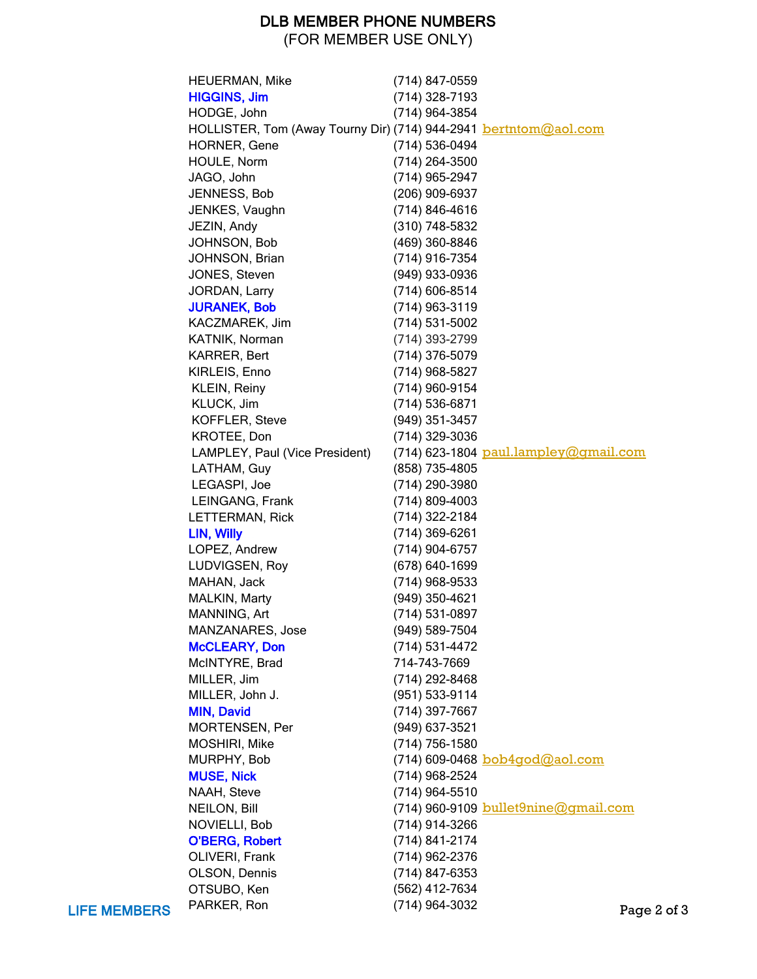## DLB MEMBER PHONE NUMBERS

(FOR MEMBER USE ONLY)

|                     | <b>HEUERMAN, Mike</b>                                                    | (714) 847-0559     |                                         |
|---------------------|--------------------------------------------------------------------------|--------------------|-----------------------------------------|
|                     | <b>HIGGINS, Jim</b>                                                      | (714) 328-7193     |                                         |
|                     | HODGE, John                                                              | (714) 964-3854     |                                         |
|                     | HOLLISTER, Tom (Away Tourny Dir) (714) 944-2941 <b>bertntom</b> @aol.com |                    |                                         |
|                     | <b>HORNER, Gene</b>                                                      | (714) 536-0494     |                                         |
|                     | HOULE, Norm                                                              | (714) 264-3500     |                                         |
|                     | JAGO, John                                                               | (714) 965-2947     |                                         |
|                     | JENNESS, Bob                                                             | (206) 909-6937     |                                         |
|                     | JENKES, Vaughn                                                           | $(714) 846 - 4616$ |                                         |
|                     |                                                                          |                    |                                         |
|                     | JEZIN, Andy                                                              | (310) 748-5832     |                                         |
|                     | JOHNSON, Bob                                                             | (469) 360-8846     |                                         |
|                     | JOHNSON, Brian                                                           | (714) 916-7354     |                                         |
|                     | JONES, Steven                                                            | (949) 933-0936     |                                         |
|                     | JORDAN, Larry                                                            | (714) 606-8514     |                                         |
|                     | <b>JURANEK, Bob</b>                                                      | $(714)$ 963-3119   |                                         |
|                     | KACZMAREK, Jim                                                           | $(714) 531 - 5002$ |                                         |
|                     | KATNIK, Norman                                                           | (714) 393-2799     |                                         |
|                     | KARRER, Bert                                                             | (714) 376-5079     |                                         |
|                     | KIRLEIS, Enno                                                            | $(714)$ 968-5827   |                                         |
|                     | KLEIN, Reiny                                                             | (714) 960-9154     |                                         |
|                     | KLUCK, Jim                                                               | $(714)$ 536-6871   |                                         |
|                     | KOFFLER, Steve                                                           | (949) 351-3457     |                                         |
|                     | KROTEE, Don                                                              | (714) 329-3036     |                                         |
|                     | LAMPLEY, Paul (Vice President)                                           |                    | $(714)$ 623-1804 paul.lampley@gmail.com |
|                     | LATHAM, Guy                                                              | (858) 735-4805     |                                         |
|                     | LEGASPI, Joe                                                             | (714) 290-3980     |                                         |
|                     | LEINGANG, Frank                                                          | $(714)$ 809-4003   |                                         |
|                     | LETTERMAN, Rick                                                          | (714) 322-2184     |                                         |
|                     | LIN, Willy                                                               | (714) 369-6261     |                                         |
|                     | LOPEZ, Andrew                                                            | $(714)$ 904-6757   |                                         |
|                     | LUDVIGSEN, Roy                                                           | (678) 640-1699     |                                         |
|                     | MAHAN, Jack                                                              | (714) 968-9533     |                                         |
|                     | MALKIN, Marty                                                            | (949) 350-4621     |                                         |
|                     | MANNING, Art                                                             | (714) 531-0897     |                                         |
|                     | MANZANARES, Jose                                                         | (949) 589-7504     |                                         |
|                     | <b>McCLEARY, Don</b>                                                     | (714) 531-4472     |                                         |
|                     | McINTYRE, Brad                                                           | 714-743-7669       |                                         |
|                     | MILLER, Jim                                                              |                    |                                         |
|                     |                                                                          | (714) 292-8468     |                                         |
|                     | MILLER, John J.                                                          | (951) 533-9114     |                                         |
|                     | <b>MIN, David</b>                                                        | (714) 397-7667     |                                         |
|                     | MORTENSEN, Per                                                           | (949) 637-3521     |                                         |
|                     | MOSHIRI, Mike                                                            | (714) 756-1580     |                                         |
|                     | MURPHY, Bob                                                              |                    | (714) 609-0468 bob4god@aol.com          |
|                     | <b>MUSE, Nick</b>                                                        | (714) 968-2524     |                                         |
|                     | NAAH, Steve                                                              | (714) 964-5510     |                                         |
|                     | NEILON, Bill                                                             |                    | (714) 960-9109 bullet9nine@gmail.com    |
|                     | NOVIELLI, Bob                                                            | (714) 914-3266     |                                         |
|                     | <b>O'BERG, Robert</b>                                                    | (714) 841-2174     |                                         |
|                     | OLIVERI, Frank                                                           | (714) 962-2376     |                                         |
|                     | OLSON, Dennis                                                            | (714) 847-6353     |                                         |
|                     | OTSUBO, Ken                                                              | (562) 412-7634     |                                         |
| <b>LIFE MEMBERS</b> | PARKER, Ron                                                              | (714) 964-3032     | Page 2 of 3                             |